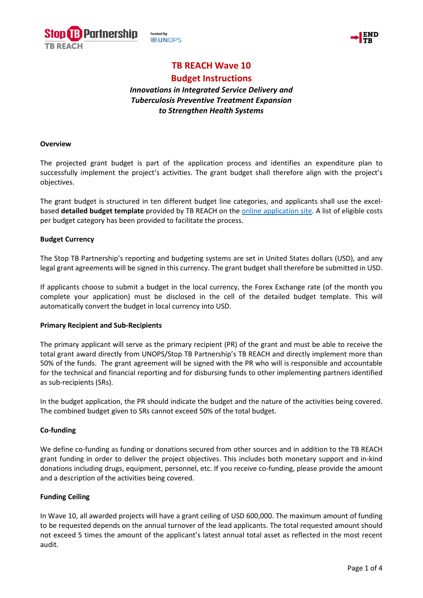



# **TB REACH Wave 10**

# **Budget Instructions**

# *Innovations in Integrated Service Delivery and Tuberculosis Preventive Treatment Expansion to Strengthen Health Systems*

#### **Overview**

The projected grant budget is part of the application process and identifies an expenditure plan to successfully implement the project's activities. The grant budget shall therefore align with the project's objectives.

The grant budget is structured in ten different budget line categories, and applicants shall use the excelbased **detailed budget template** provided by TB REACH on the [online application site.](https://stoptb.org/global/awards/tbreach/w10/default_S1.asp) A list of eligible costs per budget category has been provided to facilitate the process.

# **Budget Currency**

The Stop TB Partnership's reporting and budgeting systems are set in United States dollars (USD), and any legal grant agreements will be signed in this currency. The grant budget shall therefore be submitted in USD.

If applicants choose to submit a budget in the local currency, the Forex Exchange rate (of the month you complete your application) must be disclosed in the cell of the detailed budget template. This will automatically convert the budget in local currency into USD.

# **Primary Recipient and Sub-Recipients**

The primary applicant will serve as the primary recipient (PR) of the grant and must be able to receive the total grant award directly from UNOPS/Stop TB Partnership's TB REACH and directly implement more than 50% of the funds. The grant agreement will be signed with the PR who will is responsible and accountable for the technical and financial reporting and for disbursing funds to other implementing partners identified as sub-recipients (SRs).

In the budget application, the PR should indicate the budget and the nature of the activities being covered. The combined budget given to SRs cannot exceed 50% of the total budget.

# **Co-funding**

We define co-funding as funding or donations secured from other sources and in addition to the TB REACH grant funding in order to deliver the project objectives. This includes both monetary support and in-kind donations including drugs, equipment, personnel, etc. If you receive co-funding, please provide the amount and a description of the activities being covered.

# **Funding Ceiling**

In Wave 10, all awarded projects will have a grant ceiling of USD 600,000. The maximum amount of funding to be requested depends on the annual turnover of the lead applicants. The total requested amount should not exceed 5 times the amount of the applicant's latest annual total asset as reflected in the most recent audit.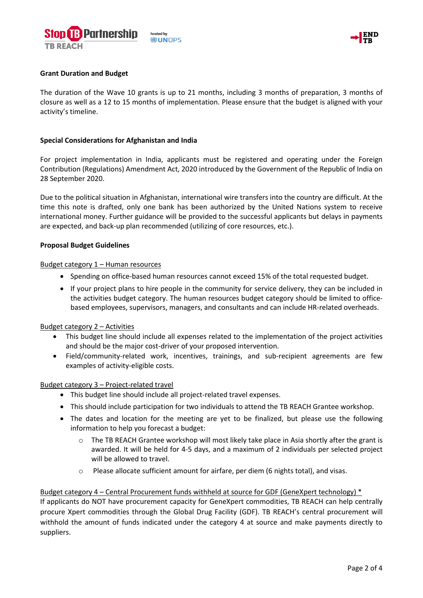



# **Grant Duration and Budget**

The duration of the Wave 10 grants is up to 21 months, including 3 months of preparation, 3 months of closure as well as a 12 to 15 months of implementation. Please ensure that the budget is aligned with your activity's timeline.

#### **Special Considerations for Afghanistan and India**

For project implementation in India, applicants must be registered and operating under the Foreign Contribution (Regulations) Amendment Act, 2020 introduced by the Government of the Republic of India on 28 September 2020.

Due to the political situation in Afghanistan, international wire transfers into the country are difficult. At the time this note is drafted, only one bank has been authorized by the United Nations system to receive international money. Further guidance will be provided to the successful applicants but delays in payments are expected, and back-up plan recommended (utilizing of core resources, etc.).

#### **Proposal Budget Guidelines**

#### Budget category 1 – Human resources

- Spending on office-based human resources cannot exceed 15% of the total requested budget.
- If your project plans to hire people in the community for service delivery, they can be included in the activities budget category. The human resources budget category should be limited to officebased employees, supervisors, managers, and consultants and can include HR-related overheads.

#### Budget category 2 – Activities

- This budget line should include all expenses related to the implementation of the project activities and should be the major cost-driver of your proposed intervention.
- Field/community-related work, incentives, trainings, and sub-recipient agreements are few examples of activity-eligible costs.

#### Budget category 3 – Project-related travel

- This budget line should include all project-related travel expenses.
- This should include participation for two individuals to attend the TB REACH Grantee workshop.
- The dates and location for the meeting are yet to be finalized, but please use the following information to help you forecast a budget:
	- $\circ$  The TB REACH Grantee workshop will most likely take place in Asia shortly after the grant is awarded. It will be held for 4-5 days, and a maximum of 2 individuals per selected project will be allowed to travel.
	- o Please allocate sufficient amount for airfare, per diem (6 nights total), and visas.

#### Budget category 4 – Central Procurement funds withheld at source for GDF (GeneXpert technology) \*

If applicants do NOT have procurement capacity for GeneXpert commodities, TB REACH can help centrally procure Xpert commodities through the Global Drug Facility (GDF). TB REACH's central procurement will withhold the amount of funds indicated under the category 4 at source and make payments directly to suppliers.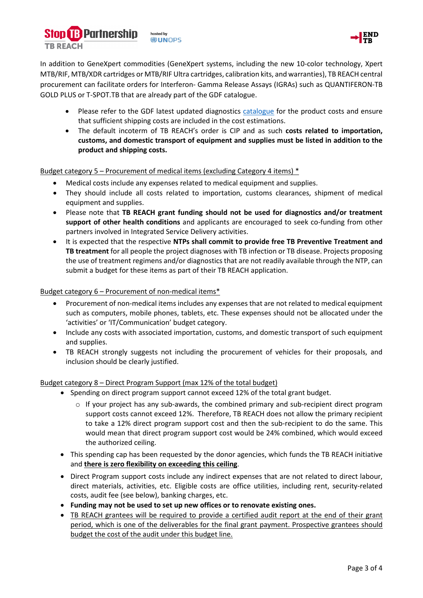



In addition to GeneXpert commodities (GeneXpert systems, including the new 10-color technology, Xpert MTB/RIF, MTB/XDR cartridges or MTB/RIF Ultra cartridges, calibration kits, and warranties), TB REACH central procurement can facilitate orders for Interferon- Gamma Release Assays (IGRAs) such as QUANTIFERON-TB GOLD PLUS or T-SPOT.TB that are already part of the GDF catalogue.

- Please refer to the GDF latest updated diagnostics [catalogue](https://www.stoptb.org/sites/default/files/gdfdiagnosticsmedicaldevotherhealthproductscatalog_0.pdf) for the product costs and ensure that sufficient shipping costs are included in the cost estimations.
- The default incoterm of TB REACH's order is CIP and as such **costs related to importation, customs, and domestic transport of equipment and supplies must be listed in addition to the product and shipping costs.**

Budget category 5 – Procurement of medical items (excluding Category 4 items) \*

- Medical costs include any expenses related to medical equipment and supplies.
- They should include all costs related to importation, customs clearances, shipment of medical equipment and supplies.
- Please note that **TB REACH grant funding should not be used for diagnostics and/or treatment support of other health conditions** and applicants are encouraged to seek co-funding from other partners involved in Integrated Service Delivery activities.
- It is expected that the respective **NTPs shall commit to provide free TB Preventive Treatment and TB treatment** for all people the project diagnoses with TB infection or TB disease. Projects proposing the use of treatment regimens and/or diagnostics that are not readily available through the NTP, can submit a budget for these items as part of their TB REACH application.

# Budget category 6 – Procurement of non-medical items\*

- Procurement of non-medical items includes any expenses that are not related to medical equipment such as computers, mobile phones, tablets, etc. These expenses should not be allocated under the 'activities' or 'IT/Communication' budget category.
- Include any costs with associated importation, customs, and domestic transport of such equipment and supplies.
- TB REACH strongly suggests not including the procurement of vehicles for their proposals, and inclusion should be clearly justified.

# Budget category 8 – Direct Program Support (max 12% of the total budget)

- Spending on direct program support cannot exceed 12% of the total grant budget.
	- o If your project has any sub-awards, the combined primary and sub-recipient direct program support costs cannot exceed 12%. Therefore, TB REACH does not allow the primary recipient to take a 12% direct program support cost and then the sub-recipient to do the same. This would mean that direct program support cost would be 24% combined, which would exceed the authorized ceiling.
- This spending cap has been requested by the donor agencies, which funds the TB REACH initiative and **there is zero flexibility on exceeding this ceiling**.
- Direct Program support costs include any indirect expenses that are not related to direct labour, direct materials, activities, etc. Eligible costs are office utilities, including rent, security-related costs, audit fee (see below), banking charges, etc.
- **Funding may not be used to set up new offices or to renovate existing ones.**
- TB REACH grantees will be required to provide a certified audit report at the end of their grant period, which is one of the deliverables for the final grant payment. Prospective grantees should budget the cost of the audit under this budget line.